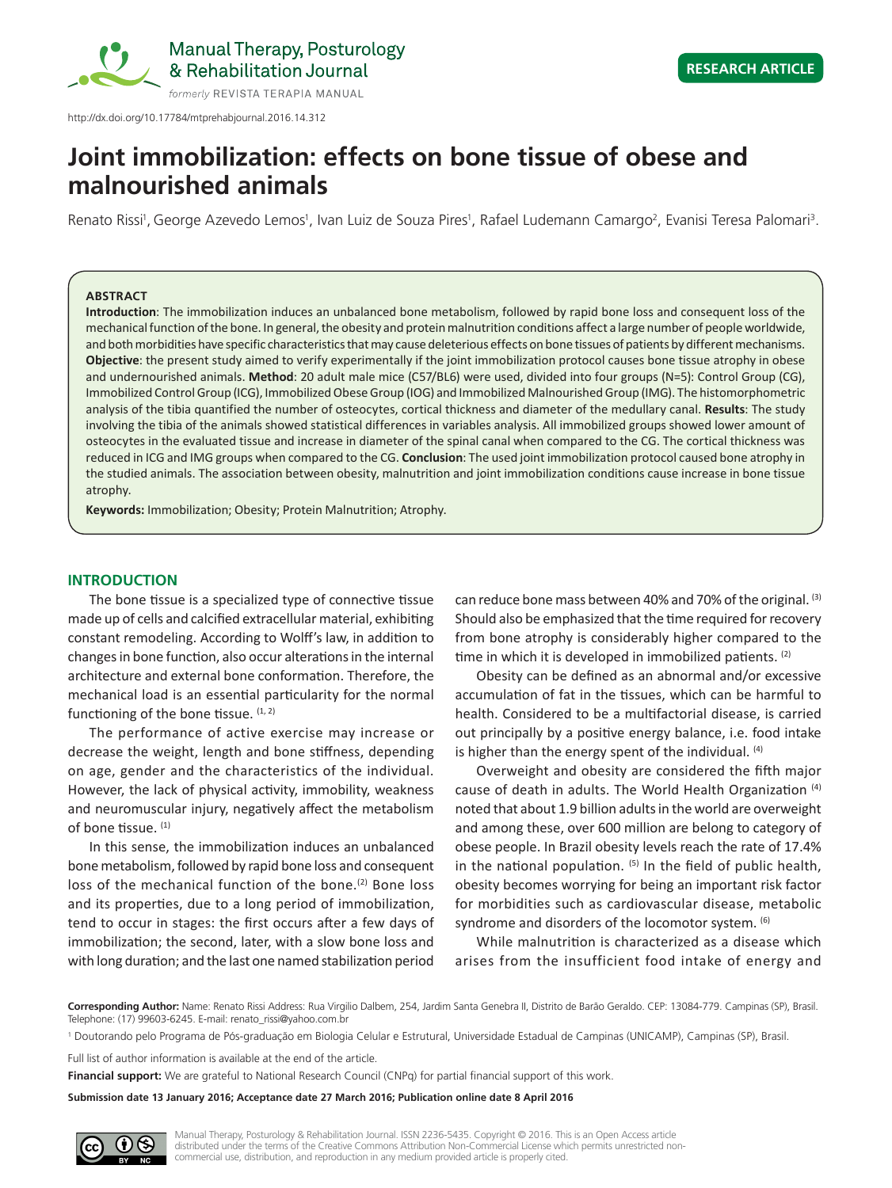

http://dx.doi.org/10.17784/mtprehabjournal.2016.14.312

# **Joint immobilization: effects on bone tissue of obese and malnourished animals**

Renato Rissi<sup>i</sup>, George Azevedo Lemos<sup>1</sup>, Ivan Luiz de Souza Pires<sup>1</sup>, Rafael Ludemann Camargo<sup>2</sup>, Evanisi Teresa Palomari<sup>3</sup>.

## **ABSTRACT**

**Introduction**: The immobilization induces an unbalanced bone metabolism, followed by rapid bone loss and consequent loss of the mechanical function of the bone. In general, the obesity and protein malnutrition conditions affect a large number of people worldwide, and both morbidities have specific characteristics that may cause deleterious effects on bone tissues of patients by different mechanisms. **Objective**: the present study aimed to verify experimentally if the joint immobilization protocol causes bone tissue atrophy in obese and undernourished animals. **Method**: 20 adult male mice (C57/BL6) were used, divided into four groups (N=5): Control Group (CG), Immobilized Control Group (ICG), Immobilized Obese Group (IOG) and Immobilized Malnourished Group (IMG). The histomorphometric analysis of the tibia quantified the number of osteocytes, cortical thickness and diameter of the medullary canal. **Results**: The study involving the tibia of the animals showed statistical differences in variables analysis. All immobilized groups showed lower amount of osteocytes in the evaluated tissue and increase in diameter of the spinal canal when compared to the CG. The cortical thickness was reduced in ICG and IMG groups when compared to the CG. **Conclusion**: The used joint immobilization protocol caused bone atrophy in the studied animals. The association between obesity, malnutrition and joint immobilization conditions cause increase in bone tissue atrophy.

**Keywords:** Immobilization; Obesity; Protein Malnutrition; Atrophy.

# **INTRODUCTION**

The bone tissue is a specialized type of connective tissue made up of cells and calcified extracellular material, exhibiting constant remodeling. According to Wolff's law, in addition to changes in bone function, also occur alterations in the internal architecture and external bone conformation. Therefore, the mechanical load is an essential particularity for the normal functioning of the bone tissue.  $(1, 2)$ 

The performance of active exercise may increase or decrease the weight, length and bone stiffness, depending on age, gender and the characteristics of the individual. However, the lack of physical activity, immobility, weakness and neuromuscular injury, negatively affect the metabolism of bone tissue. (1)

In this sense, the immobilization induces an unbalanced bone metabolism, followed by rapid bone loss and consequent loss of the mechanical function of the bone.<sup>(2)</sup> Bone loss and its properties, due to a long period of immobilization, tend to occur in stages: the first occurs after a few days of immobilization; the second, later, with a slow bone loss and with long duration; and the last one named stabilization period can reduce bone mass between 40% and 70% of the original. (3) Should also be emphasized that the time required for recovery from bone atrophy is considerably higher compared to the time in which it is developed in immobilized patients. (2)

Obesity can be defined as an abnormal and/or excessive accumulation of fat in the tissues, which can be harmful to health. Considered to be a multifactorial disease, is carried out principally by a positive energy balance, i.e. food intake is higher than the energy spent of the individual.  $(4)$ 

Overweight and obesity are considered the fifth major cause of death in adults. The World Health Organization (4) noted that about 1.9 billion adults in the world are overweight and among these, over 600 million are belong to category of obese people. In Brazil obesity levels reach the rate of 17.4% in the national population.  $(5)$  In the field of public health, obesity becomes worrying for being an important risk factor for morbidities such as cardiovascular disease, metabolic syndrome and disorders of the locomotor system. <sup>(6)</sup>

While malnutrition is characterized as a disease which arises from the insufficient food intake of energy and

**Corresponding Author:** Name: Renato Rissi Address: Rua Virgilio Dalbem, 254, Jardim Santa Genebra II, Distrito de Barão Geraldo. CEP: 13084-779. Campinas (SP), Brasil. Telephone: (17) 99603-6245. E-mail: renato\_rissi@yahoo.com.br

1 Doutorando pelo Programa de Pós-graduação em Biologia Celular e Estrutural, Universidade Estadual de Campinas (UNICAMP), Campinas (SP), Brasil.

Full list of author information is available at the end of the article.

**Financial support:** We are grateful to National Research Council (CNPq) for partial financial support of this work.

**Submission date 13 January 2016; Acceptance date 27 March 2016; Publication online date 8 April 2016**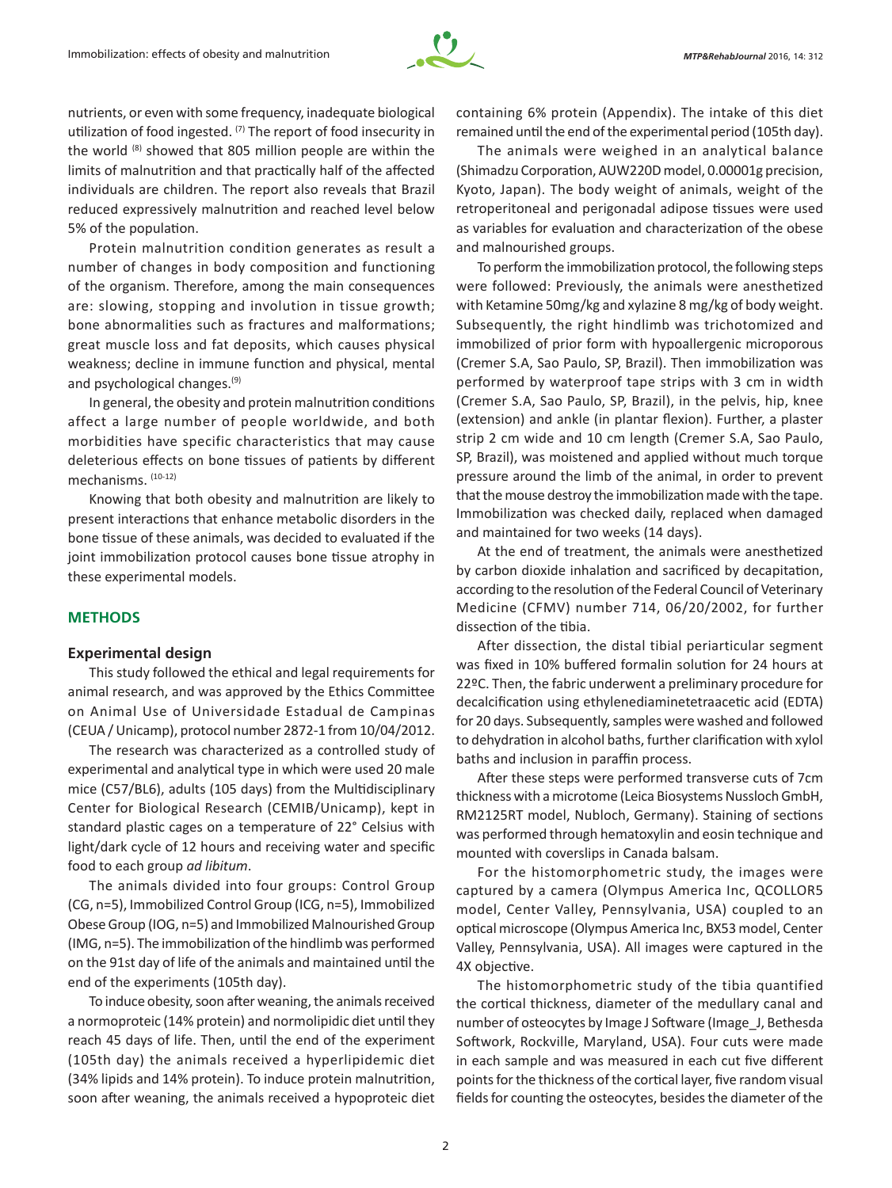

nutrients, or even with some frequency, inadequate biological utilization of food ingested. (7) The report of food insecurity in the world (8) showed that 805 million people are within the limits of malnutrition and that practically half of the affected individuals are children. The report also reveals that Brazil reduced expressively malnutrition and reached level below 5% of the population.

Protein malnutrition condition generates as result a number of changes in body composition and functioning of the organism. Therefore, among the main consequences are: slowing, stopping and involution in tissue growth; bone abnormalities such as fractures and malformations; great muscle loss and fat deposits, which causes physical weakness; decline in immune function and physical, mental and psychological changes.(9)

In general, the obesity and protein malnutrition conditions affect a large number of people worldwide, and both morbidities have specific characteristics that may cause deleterious effects on bone tissues of patients by different mechanisms. (10-12)

Knowing that both obesity and malnutrition are likely to present interactions that enhance metabolic disorders in the bone tissue of these animals, was decided to evaluated if the joint immobilization protocol causes bone tissue atrophy in these experimental models.

## **METHODS**

#### **Experimental design**

This study followed the ethical and legal requirements for animal research, and was approved by the Ethics Committee on Animal Use of Universidade Estadual de Campinas (CEUA / Unicamp), protocol number 2872-1 from 10/04/2012.

The research was characterized as a controlled study of experimental and analytical type in which were used 20 male mice (C57/BL6), adults (105 days) from the Multidisciplinary Center for Biological Research (CEMIB/Unicamp), kept in standard plastic cages on a temperature of 22° Celsius with light/dark cycle of 12 hours and receiving water and specific food to each group *ad libitum*.

The animals divided into four groups: Control Group (CG, n=5), Immobilized Control Group (ICG, n=5), Immobilized Obese Group (IOG, n=5) and Immobilized Malnourished Group (IMG, n=5). The immobilization of the hindlimb was performed on the 91st day of life of the animals and maintained until the end of the experiments (105th day).

To induce obesity, soon after weaning, the animals received a normoproteic (14% protein) and normolipidic diet until they reach 45 days of life. Then, until the end of the experiment (105th day) the animals received a hyperlipidemic diet (34% lipids and 14% protein). To induce protein malnutrition, soon after weaning, the animals received a hypoproteic diet containing 6% protein (Appendix). The intake of this diet remained until the end of the experimental period (105th day).

The animals were weighed in an analytical balance (Shimadzu Corporation, AUW220D model, 0.00001g precision, Kyoto, Japan). The body weight of animals, weight of the retroperitoneal and perigonadal adipose tissues were used as variables for evaluation and characterization of the obese and malnourished groups.

To perform the immobilization protocol, the following steps were followed: Previously, the animals were anesthetized with Ketamine 50mg/kg and xylazine 8 mg/kg of body weight. Subsequently, the right hindlimb was trichotomized and immobilized of prior form with hypoallergenic microporous (Cremer S.A, Sao Paulo, SP, Brazil). Then immobilization was performed by waterproof tape strips with 3 cm in width (Cremer S.A, Sao Paulo, SP, Brazil), in the pelvis, hip, knee (extension) and ankle (in plantar flexion). Further, a plaster strip 2 cm wide and 10 cm length (Cremer S.A, Sao Paulo, SP, Brazil), was moistened and applied without much torque pressure around the limb of the animal, in order to prevent that the mouse destroy the immobilization made with the tape. Immobilization was checked daily, replaced when damaged and maintained for two weeks (14 days).

At the end of treatment, the animals were anesthetized by carbon dioxide inhalation and sacrificed by decapitation, according to the resolution of the Federal Council of Veterinary Medicine (CFMV) number 714, 06/20/2002, for further dissection of the tibia.

After dissection, the distal tibial periarticular segment was fixed in 10% buffered formalin solution for 24 hours at 22ºC. Then, the fabric underwent a preliminary procedure for decalcification using ethylenediaminetetraacetic acid (EDTA) for 20 days. Subsequently, samples were washed and followed to dehydration in alcohol baths, further clarification with xylol baths and inclusion in paraffin process.

After these steps were performed transverse cuts of 7cm thickness with a microtome (Leica Biosystems Nussloch GmbH, RM2125RT model, Nubloch, Germany). Staining of sections was performed through hematoxylin and eosin technique and mounted with coverslips in Canada balsam.

For the histomorphometric study, the images were captured by a camera (Olympus America Inc, QCOLLOR5 model, Center Valley, Pennsylvania, USA) coupled to an optical microscope (Olympus America Inc, BX53 model, Center Valley, Pennsylvania, USA). All images were captured in the 4X objective.

The histomorphometric study of the tibia quantified the cortical thickness, diameter of the medullary canal and number of osteocytes by Image J Software (Image\_J, Bethesda Softwork, Rockville, Maryland, USA). Four cuts were made in each sample and was measured in each cut five different points for the thickness of the cortical layer, five random visual fields for counting the osteocytes, besides the diameter of the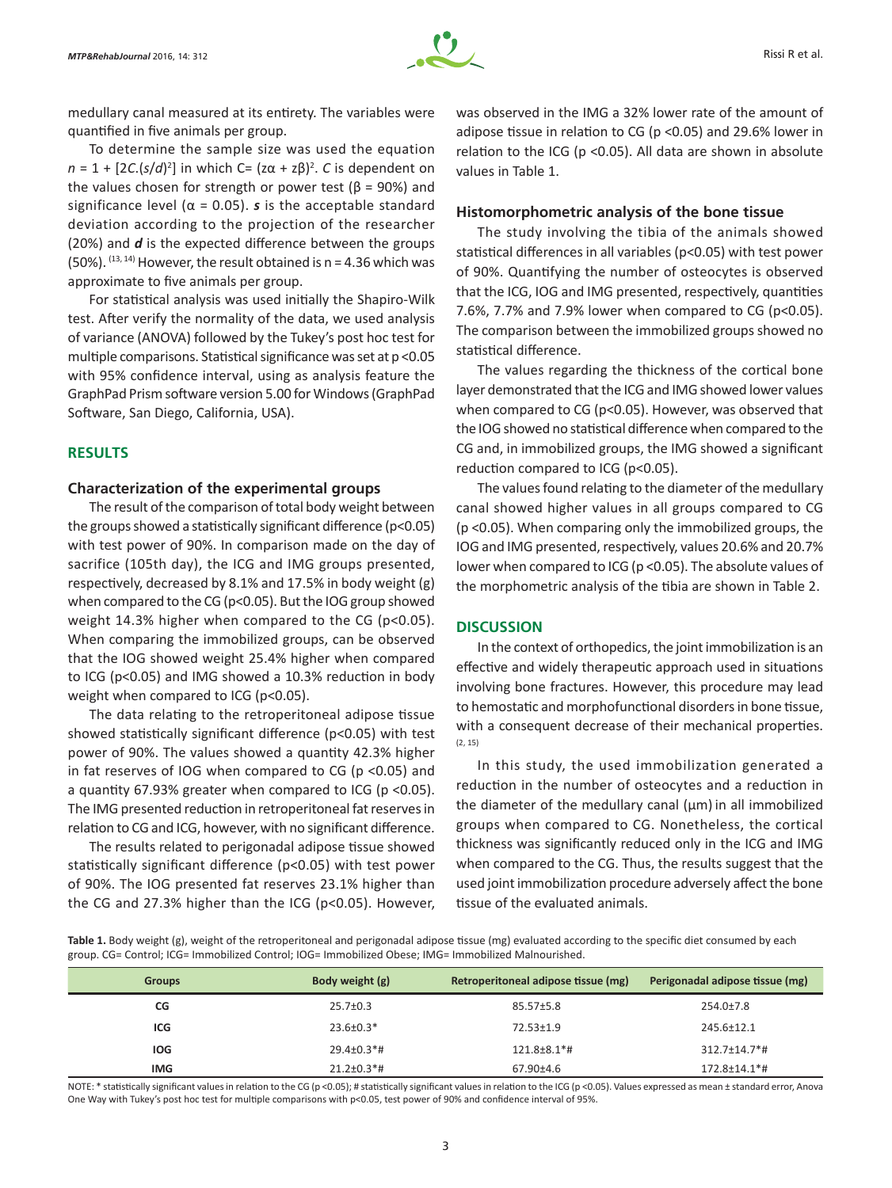

medullary canal measured at its entirety. The variables were quantified in five animals per group.

To determine the sample size was used the equation *n* = 1 + [2*C*.(*s*/*d*)<sup>2</sup>] in which C= (zα + zβ)<sup>2</sup>. *C* is dependent on the values chosen for strength or power test ( $\beta$  = 90%) and significance level ( $\alpha$  = 0.05). **s** is the acceptable standard deviation according to the projection of the researcher (20%) and *d* is the expected difference between the groups (50%).  $(13, 14)$  However, the result obtained is n = 4.36 which was approximate to five animals per group.

For statistical analysis was used initially the Shapiro-Wilk test. After verify the normality of the data, we used analysis of variance (ANOVA) followed by the Tukey's post hoc test for multiple comparisons. Statistical significance was set at p <0.05 with 95% confidence interval, using as analysis feature the GraphPad Prism software version 5.00 for Windows (GraphPad Software, San Diego, California, USA).

# **RESULTS**

## **Characterization of the experimental groups**

The result of the comparison of total body weight between the groups showed a statistically significant difference (p<0.05) with test power of 90%. In comparison made on the day of sacrifice (105th day), the ICG and IMG groups presented, respectively, decreased by 8.1% and 17.5% in body weight (g) when compared to the CG (p<0.05). But the IOG group showed weight 14.3% higher when compared to the CG (p<0.05). When comparing the immobilized groups, can be observed that the IOG showed weight 25.4% higher when compared to ICG (p<0.05) and IMG showed a 10.3% reduction in body weight when compared to ICG (p<0.05).

The data relating to the retroperitoneal adipose tissue showed statistically significant difference (p<0.05) with test power of 90%. The values showed a quantity 42.3% higher in fat reserves of IOG when compared to CG (p <0.05) and a quantity 67.93% greater when compared to ICG (p <0.05). The IMG presented reduction in retroperitoneal fat reserves in relation to CG and ICG, however, with no significant difference.

The results related to perigonadal adipose tissue showed statistically significant difference (p<0.05) with test power of 90%. The IOG presented fat reserves 23.1% higher than the CG and 27.3% higher than the ICG (p<0.05). However, was observed in the IMG a 32% lower rate of the amount of adipose tissue in relation to CG (p <0.05) and 29.6% lower in relation to the ICG (p <0.05). All data are shown in absolute values in Table 1.

## **Histomorphometric analysis of the bone tissue**

The study involving the tibia of the animals showed statistical differences in all variables (p<0.05) with test power of 90%. Quantifying the number of osteocytes is observed that the ICG, IOG and IMG presented, respectively, quantities 7.6%, 7.7% and 7.9% lower when compared to CG ( $p$ <0.05). The comparison between the immobilized groups showed no statistical difference.

The values regarding the thickness of the cortical bone layer demonstrated that the ICG and IMG showed lower values when compared to CG (p<0.05). However, was observed that the IOG showed no statistical difference when compared to the CG and, in immobilized groups, the IMG showed a significant reduction compared to ICG (p<0.05).

The values found relating to the diameter of the medullary canal showed higher values in all groups compared to CG (p <0.05). When comparing only the immobilized groups, the IOG and IMG presented, respectively, values 20.6% and 20.7% lower when compared to ICG (p <0.05). The absolute values of the morphometric analysis of the tibia are shown in Table 2.

## **DISCUSSION**

In the context of orthopedics, the joint immobilization is an effective and widely therapeutic approach used in situations involving bone fractures. However, this procedure may lead to hemostatic and morphofunctional disorders in bone tissue, with a consequent decrease of their mechanical properties. (2, 15)

In this study, the used immobilization generated a reduction in the number of osteocytes and a reduction in the diameter of the medullary canal  $(\mu m)$  in all immobilized groups when compared to CG. Nonetheless, the cortical thickness was significantly reduced only in the ICG and IMG when compared to the CG. Thus, the results suggest that the used joint immobilization procedure adversely affect the bone tissue of the evaluated animals.

**Table 1.** Body weight (g), weight of the retroperitoneal and perigonadal adipose tissue (mg) evaluated according to the specific diet consumed by each group. CG= Control; ICG= Immobilized Control; IOG= Immobilized Obese; IMG= Immobilized Malnourished.

| <b>Groups</b> | Body weight (g)   | Retroperitoneal adipose tissue (mg) | Perigonadal adipose tissue (mg) |
|---------------|-------------------|-------------------------------------|---------------------------------|
| CG            | $25.7 \pm 0.3$    | $85.57 \pm 5.8$                     | $254.0 \pm 7.8$                 |
| ICG           | $23.6 \pm 0.3*$   | $72.53 \pm 1.9$                     | 245.6±12.1                      |
| <b>IOG</b>    | $29.4 \pm 0.3$ *# | $121.8\pm8.1*$ #                    | $312.7 \pm 14.7$ <sup>*</sup> # |
| <b>IMG</b>    | $21.2 \pm 0.3$ *# | $67.90{\pm}4.6$                     | $172.8 \pm 14.1$ <sup>*</sup> # |

NOTE: \* statistically significant values in relation to the CG (p <0.05); # statistically significant values in relation to the ICG (p <0.05). Values expressed as mean ± standard error, Anova One Way with Tukey's post hoc test for multiple comparisons with p<0.05, test power of 90% and confidence interval of 95%.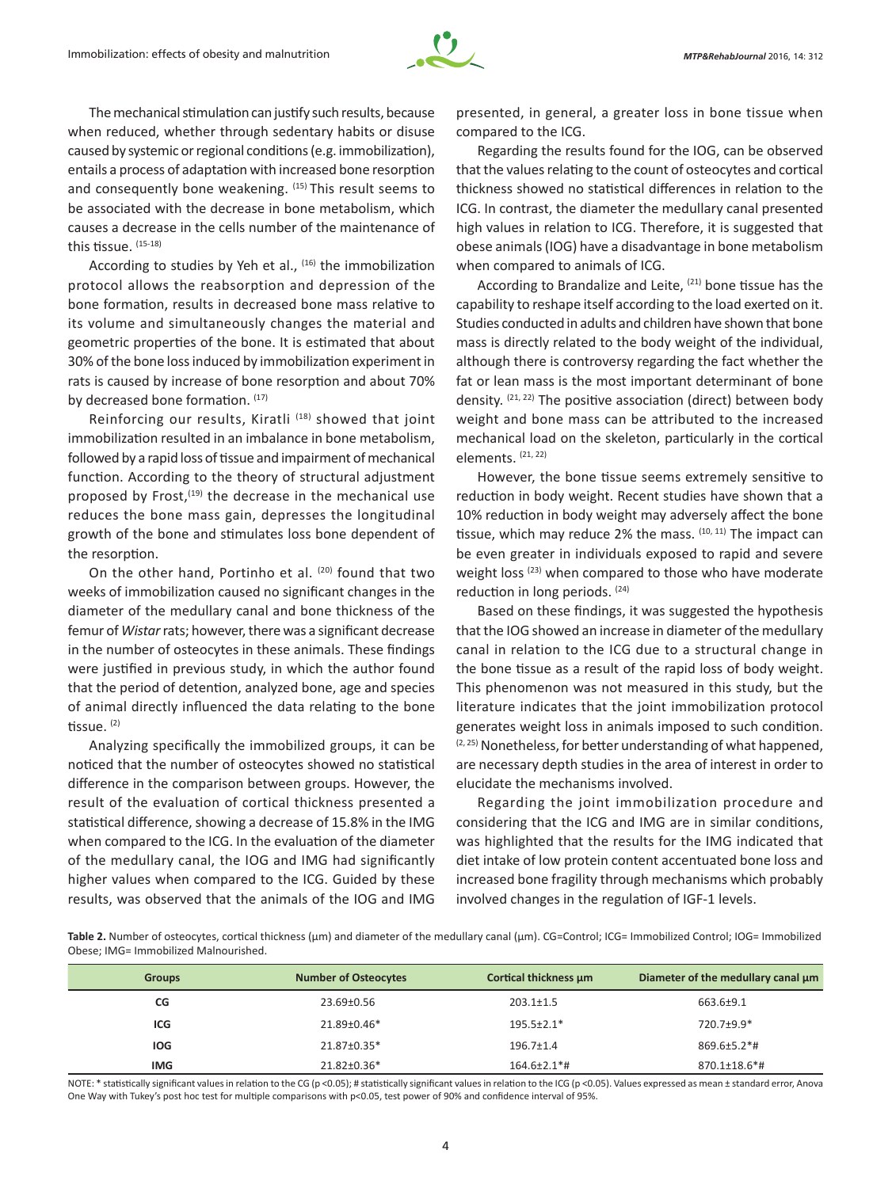

The mechanical stimulation can justify such results, because when reduced, whether through sedentary habits or disuse caused by systemic or regional conditions (e.g. immobilization), entails a process of adaptation with increased bone resorption and consequently bone weakening.  $(15)$  This result seems to be associated with the decrease in bone metabolism, which causes a decrease in the cells number of the maintenance of this tissue. (15-18)

According to studies by Yeh et al., <sup>(16)</sup> the immobilization protocol allows the reabsorption and depression of the bone formation, results in decreased bone mass relative to its volume and simultaneously changes the material and geometric properties of the bone. It is estimated that about 30% of the bone loss induced by immobilization experiment in rats is caused by increase of bone resorption and about 70% by decreased bone formation. (17)

Reinforcing our results, Kiratli (18) showed that joint immobilization resulted in an imbalance in bone metabolism, followed by a rapid loss of tissue and impairment of mechanical function. According to the theory of structural adjustment proposed by Frost, $(19)$  the decrease in the mechanical use reduces the bone mass gain, depresses the longitudinal growth of the bone and stimulates loss bone dependent of the resorption.

On the other hand, Portinho et al. (20) found that two weeks of immobilization caused no significant changes in the diameter of the medullary canal and bone thickness of the femur of *Wistar* rats; however, there was a significant decrease in the number of osteocytes in these animals. These findings were justified in previous study, in which the author found that the period of detention, analyzed bone, age and species of animal directly influenced the data relating to the bone tissue. (2)

Analyzing specifically the immobilized groups, it can be noticed that the number of osteocytes showed no statistical difference in the comparison between groups. However, the result of the evaluation of cortical thickness presented a statistical difference, showing a decrease of 15.8% in the IMG when compared to the ICG. In the evaluation of the diameter of the medullary canal, the IOG and IMG had significantly higher values when compared to the ICG. Guided by these results, was observed that the animals of the IOG and IMG

presented, in general, a greater loss in bone tissue when compared to the ICG.

Regarding the results found for the IOG, can be observed that the values relating to the count of osteocytes and cortical thickness showed no statistical differences in relation to the ICG. In contrast, the diameter the medullary canal presented high values in relation to ICG. Therefore, it is suggested that obese animals (IOG) have a disadvantage in bone metabolism when compared to animals of ICG.

According to Brandalize and Leite, <sup>(21)</sup> bone tissue has the capability to reshape itself according to the load exerted on it. Studies conducted in adults and children have shown that bone mass is directly related to the body weight of the individual, although there is controversy regarding the fact whether the fat or lean mass is the most important determinant of bone density.  $(21, 22)$  The positive association (direct) between body weight and bone mass can be attributed to the increased mechanical load on the skeleton, particularly in the cortical elements. (21, 22)

However, the bone tissue seems extremely sensitive to reduction in body weight. Recent studies have shown that a 10% reduction in body weight may adversely affect the bone tissue, which may reduce 2% the mass. (10, 11) The impact can be even greater in individuals exposed to rapid and severe weight loss (23) when compared to those who have moderate reduction in long periods. (24)

Based on these findings, it was suggested the hypothesis that the IOG showed an increase in diameter of the medullary canal in relation to the ICG due to a structural change in the bone tissue as a result of the rapid loss of body weight. This phenomenon was not measured in this study, but the literature indicates that the joint immobilization protocol generates weight loss in animals imposed to such condition.  $(2, 25)$  Nonetheless, for better understanding of what happened, are necessary depth studies in the area of interest in order to elucidate the mechanisms involved.

Regarding the joint immobilization procedure and considering that the ICG and IMG are in similar conditions, was highlighted that the results for the IMG indicated that diet intake of low protein content accentuated bone loss and increased bone fragility through mechanisms which probably involved changes in the regulation of IGF-1 levels.

Table 2. Number of osteocytes, cortical thickness (µm) and diameter of the medullary canal (µm). CG=Control; ICG= Immobilized Control; IOG= Immobilized Obese; IMG= Immobilized Malnourished.

| <b>Groups</b> | <b>Number of Osteocytes</b> | Cortical thickness µm | Diameter of the medullary canal um |
|---------------|-----------------------------|-----------------------|------------------------------------|
| CG            | 23.69±0.56                  | $203.1 \pm 1.5$       | 663.6±9.1                          |
| ICG           | 21.89±0.46*                 | $195.5 \pm 2.1*$      | 720.7±9.9*                         |
| <b>IOG</b>    | 21.87±0.35*                 | $196.7 \pm 1.4$       | $869.6 \pm 5.2$ *#                 |
| <b>IMG</b>    | 21.82±0.36*                 | $164.6 \pm 2.1$ *#    | $870.1 \pm 18.6$ *#                |

NOTE: \* statistically significant values in relation to the CG (p <0.05); # statistically significant values in relation to the ICG (p <0.05). Values expressed as mean ± standard error, Anova One Way with Tukey's post hoc test for multiple comparisons with p<0.05, test power of 90% and confidence interval of 95%.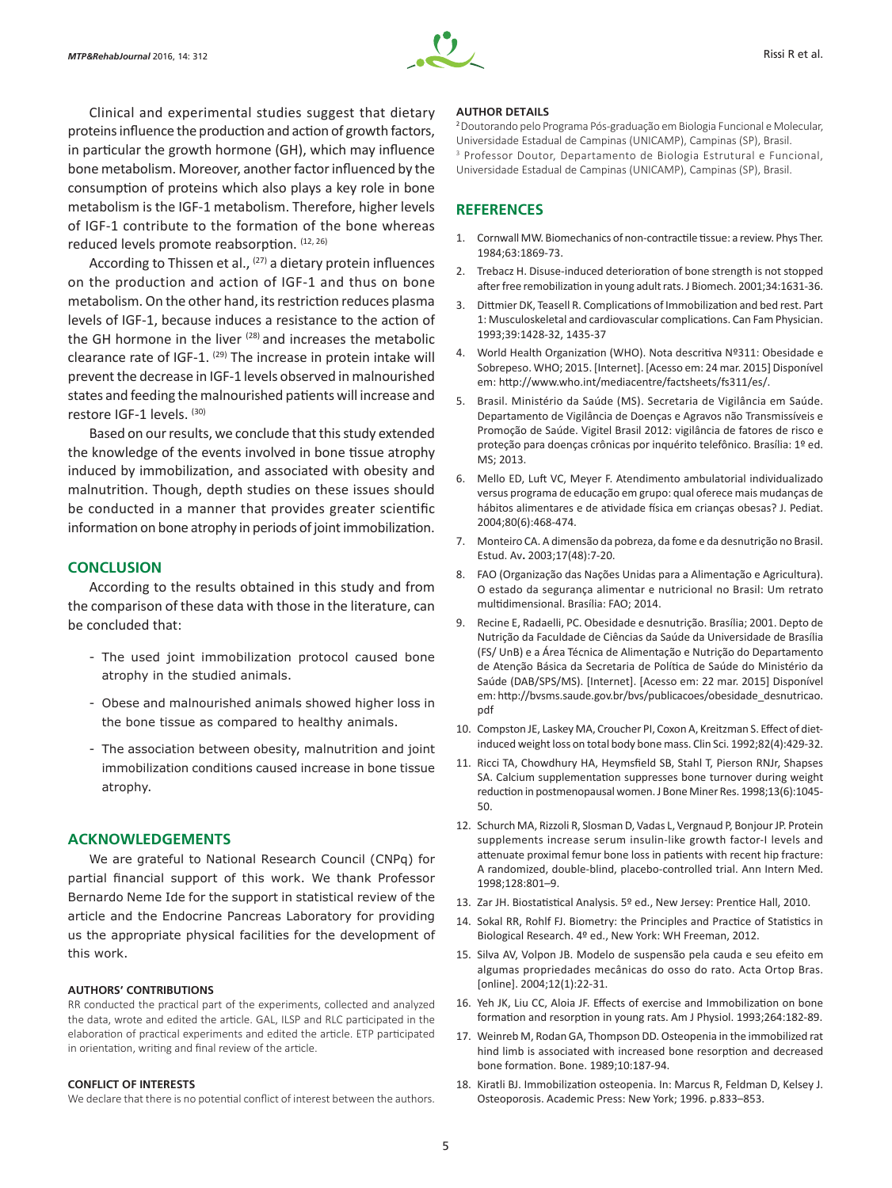

Clinical and experimental studies suggest that dietary proteins influence the production and action of growth factors, in particular the growth hormone (GH), which may influence bone metabolism. Moreover, another factor influenced by the consumption of proteins which also plays a key role in bone metabolism is the IGF-1 metabolism. Therefore, higher levels of IGF-1 contribute to the formation of the bone whereas reduced levels promote reabsorption. (12, 26)

According to Thissen et al., <sup>(27)</sup> a dietary protein influences on the production and action of IGF-1 and thus on bone metabolism. On the other hand, its restriction reduces plasma levels of IGF-1, because induces a resistance to the action of the GH hormone in the liver  $(28)$  and increases the metabolic clearance rate of IGF-1. <sup>(29)</sup> The increase in protein intake will prevent the decrease in IGF-1 levels observed in malnourished states and feeding the malnourished patients will increase and restore IGF-1 levels. (30)

Based on our results, we conclude that this study extended the knowledge of the events involved in bone tissue atrophy induced by immobilization, and associated with obesity and malnutrition. Though, depth studies on these issues should be conducted in a manner that provides greater scientific information on bone atrophy in periods of joint immobilization.

#### **CONCLUSION**

According to the results obtained in this study and from the comparison of these data with those in the literature, can be concluded that:

- The used joint immobilization protocol caused bone atrophy in the studied animals.
- Obese and malnourished animals showed higher loss in the bone tissue as compared to healthy animals.
- The association between obesity, malnutrition and joint immobilization conditions caused increase in bone tissue atrophy.

#### **ACKNOWLEDGEMENTS**

We are grateful to National Research Council (CNPq) for partial financial support of this work. We thank Professor Bernardo Neme Ide for the support in statistical review of the article and the Endocrine Pancreas Laboratory for providing us the appropriate physical facilities for the development of this work.

#### **AUTHORS' CONTRIBUTIONS**

RR conducted the practical part of the experiments, collected and analyzed the data, wrote and edited the article. GAL, ILSP and RLC participated in the elaboration of practical experiments and edited the article. ETP participated in orientation, writing and final review of the article.

#### **CONFLICT OF INTERESTS**

We declare that there is no potential conflict of interest between the authors.

#### **AUTHOR DETAILS**

<sup>2</sup>Doutorando pelo Programa Pós-graduação em Biologia Funcional e Molecular, Universidade Estadual de Campinas (UNICAMP), Campinas (SP), Brasil. 3 Professor Doutor, Departamento de Biologia Estrutural e Funcional, Universidade Estadual de Campinas (UNICAMP), Campinas (SP), Brasil.

## **REFERENCES**

- 1. Cornwall MW. Biomechanics of non-contractile tissue: a review. Phys Ther. 1984;63:1869-73.
- 2. Trebacz H. Disuse-induced deterioration of bone strength is not stopped after free remobilization in young adult rats. J Biomech. 2001;34:1631-36.
- 3. Dittmier DK, Teasell R. Complications of Immobilization and bed rest. Part 1: Musculoskeletal and cardiovascular complications. Can Fam Physician. 1993;39:1428-32, 1435-37
- 4. World Health Organization (WHO). Nota descritiva Nº311: Obesidade e Sobrepeso. WHO; 2015. [Internet]. [Acesso em: 24 mar. 2015] Disponível em: http://www.who.int/mediacentre/factsheets/fs311/es/.
- 5. Brasil. Ministério da Saúde (MS). Secretaria de Vigilância em Saúde. Departamento de Vigilância de Doenças e Agravos não Transmissíveis e Promoção de Saúde. Vigitel Brasil 2012: vigilância de fatores de risco e proteção para doenças crônicas por inquérito telefônico. Brasília: 1º ed. MS; 2013.
- 6. Mello ED, Luft VC, Meyer F. Atendimento ambulatorial individualizado versus programa de educação em grupo: qual oferece mais mudanças de hábitos alimentares e de atividade física em crianças obesas? J. Pediat. 2004;80(6):468-474.
- 7. Monteiro CA. A dimensão da pobreza, da fome e da desnutrição no Brasil. Estud. Av**.** 2003;17(48):7-20.
- 8. FAO (Organização das Nações Unidas para a Alimentação e Agricultura). O estado da segurança alimentar e nutricional no Brasil: Um retrato multidimensional. Brasília: FAO; 2014.
- 9. Recine E, Radaelli, PC. Obesidade e desnutrição. Brasília; 2001. Depto de Nutrição da Faculdade de Ciências da Saúde da Universidade de Brasília (FS/ UnB) e a Área Técnica de Alimentação e Nutrição do Departamento de Atenção Básica da Secretaria de Política de Saúde do Ministério da Saúde (DAB/SPS/MS). [Internet]. [Acesso em: 22 mar. 2015] Disponível em: http://bvsms.saude.gov.br/bvs/publicacoes/obesidade\_desnutricao. pdf
- 10. Compston JE, Laskey MA, Croucher PI, Coxon A, Kreitzman S. Effect of dietinduced weight loss on total body bone mass. Clin Sci. 1992;82(4):429-32.
- 11. Ricci TA, Chowdhury HA, Heymsfield SB, Stahl T, Pierson RNJr, Shapses SA. Calcium supplementation suppresses bone turnover during weight reduction in postmenopausal women. J Bone Miner Res. 1998;13(6):1045- 50.
- 12. Schurch MA, Rizzoli R, Slosman D, Vadas L, Vergnaud P, Bonjour JP. Protein supplements increase serum insulin-like growth factor-I levels and attenuate proximal femur bone loss in patients with recent hip fracture: A randomized, double-blind, placebo-controlled trial. Ann Intern Med. 1998;128:801–9.
- 13. Zar JH. Biostatistical Analysis. 5º ed., New Jersey: Prentice Hall, 2010.
- 14. Sokal RR, Rohlf FJ. Biometry: the Principles and Practice of Statistics in Biological Research. 4º ed., New York: WH Freeman, 2012.
- 15. Silva AV, Volpon JB. Modelo de suspensão pela cauda e seu efeito em algumas propriedades mecânicas do osso do rato. Acta Ortop Bras. [online]. 2004;12(1):22-31.
- 16. Yeh JK, Liu CC, Aloia JF. Effects of exercise and Immobilization on bone formation and resorption in young rats. Am J Physiol. 1993;264:182-89.
- 17. Weinreb M, Rodan GA, Thompson DD. Osteopenia in the immobilized rat hind limb is associated with increased bone resorption and decreased bone formation. Bone. 1989;10:187-94.
- 18. Kiratli BJ. Immobilization osteopenia. In: Marcus R, Feldman D, Kelsey J. Osteoporosis. Academic Press: New York; 1996. p.833–853.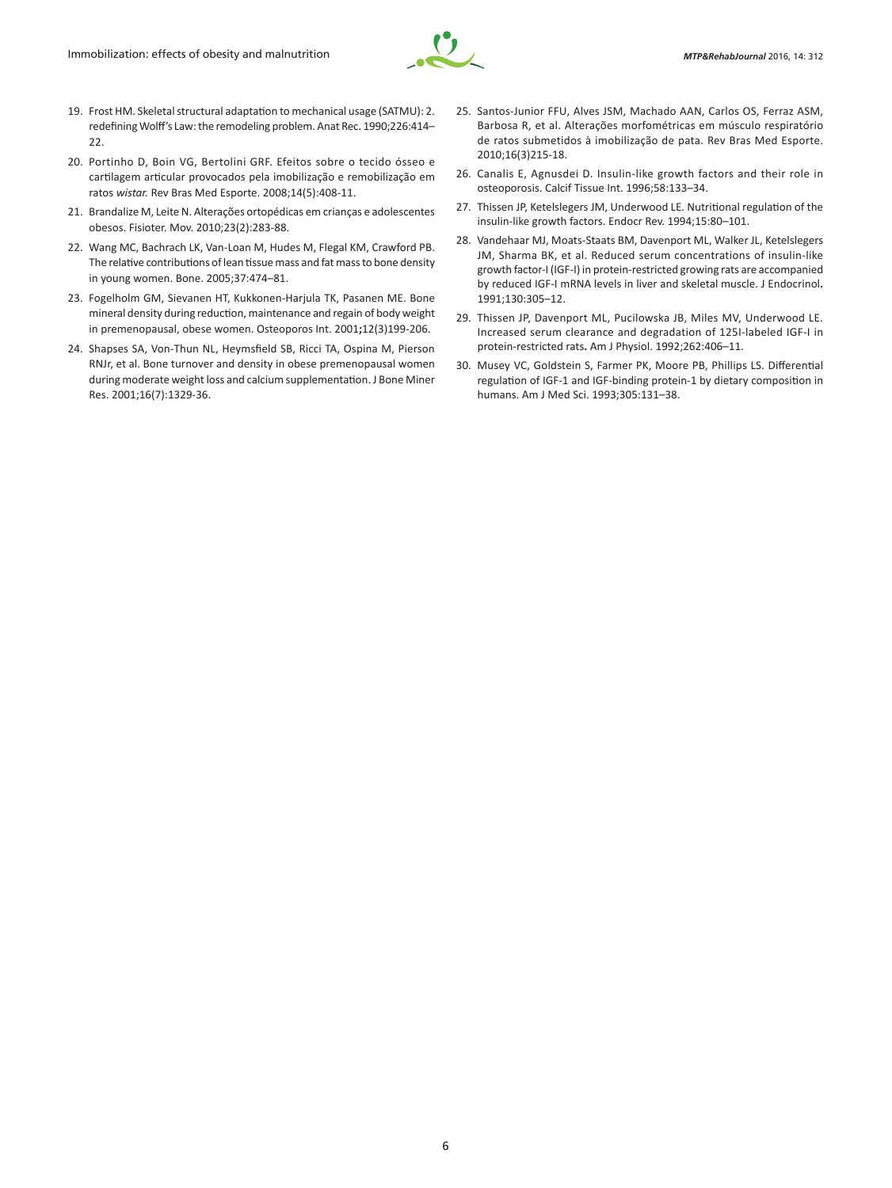

- 19. Frost HM. Skeletal structural adaptation to mechanical usage (SATMU): 2. redefining Wolff's Law: the remodeling problem. Anat Rec. 1990;226:414–  $22.2$
- 20. Portinho D, Boin VG, Bertolini GRF. Efeitos sobre o tecido ósseo e cartilagem articular provocados pela imobilização e remobilização em ratos *wistar.* Rev Bras Med Esporte. 2008;14(5):408-11.
- 21. Brandalize M, Leite N. Alterações ortopédicas em crianças e adolescentes obesos. Fisioter. Mov. 2010;23(2):283-88.
- 22. Wang MC, Bachrach LK, Van-Loan M, Hudes M, Flegal KM, Crawford PB. The relative contributions of lean tissue mass and fat mass to bone density in young women. Bone. 2005;37:474–81.
- 23. Fogelholm GM, Sievanen HT, Kukkonen-Harjula TK, Pasanen ME. Bone mineral density during reduction, maintenance and regain of body weight in premenopausal, obese women. Osteoporos Int. 2001**;**12(3)199-206.
- 24. Shapses SA, Von-Thun NL, Heymsfield SB, Ricci TA, Ospina M, Pierson RNJr, et al. Bone turnover and density in obese premenopausal women during moderate weight loss and calcium supplementation. J Bone Miner Res. 2001;16(7):1329-36.
- 25. Santos-Junior FFU, Alves JSM, Machado AAN, Carlos OS, Ferraz ASM, Barbosa R, et al. Alterações morfométricas em músculo respiratório de ratos submetidos à imobilização de pata. Rev Bras Med Esporte. 2010;16(3)215-18.
- 26. Canalis E, Agnusdei D. Insulin-like growth factors and their role in osteoporosis. Calcif Tissue Int. 1996;58:133–34.
- 27. Thissen JP, Ketelslegers JM, Underwood LE. Nutritional regulation of the insulin-like growth factors. Endocr Rev. 1994;15:80–101.
- 28. Vandehaar MJ, Moats-Staats BM, Davenport ML, Walker JL, Ketelslegers JM, Sharma BK, et al. Reduced serum concentrations of insulin-like growth factor-I (IGF-I) in protein-restricted growing rats are accompanied by reduced IGF-I mRNA levels in liver and skeletal muscle. J Endocrinol**.** 1991;130:305–12.
- 29. Thissen JP, Davenport ML, Pucilowska JB, Miles MV, Underwood LE. Increased serum clearance and degradation of 125I-labeled IGF-I in protein-restricted rats**.** Am J Physiol. 1992;262:406–11.
- 30. Musey VC, Goldstein S, Farmer PK, Moore PB, Phillips LS. Differential regulation of IGF-1 and IGF-binding protein-1 by dietary composition in humans. Am J Med Sci. 1993;305:131–38.